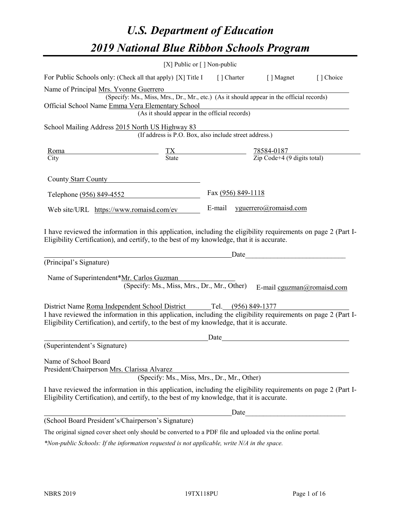# *U.S. Department of Education 2019 National Blue Ribbon Schools Program*

|                                                                                                                                                                                                                                                                                    | [X] Public or [] Non-public                                                                                                                                                                                                                                                        |      |                    |                                                                                                                     |                            |
|------------------------------------------------------------------------------------------------------------------------------------------------------------------------------------------------------------------------------------------------------------------------------------|------------------------------------------------------------------------------------------------------------------------------------------------------------------------------------------------------------------------------------------------------------------------------------|------|--------------------|---------------------------------------------------------------------------------------------------------------------|----------------------------|
| For Public Schools only: (Check all that apply) [X] Title I [] Charter [] Magnet                                                                                                                                                                                                   |                                                                                                                                                                                                                                                                                    |      |                    |                                                                                                                     | [] Choice                  |
| Name of Principal Mrs. Yvonne Guerrero<br>Official School Name Emma Vera Elementary School                                                                                                                                                                                         | (Specify: Ms., Miss, Mrs., Dr., Mr., etc.) (As it should appear in the official records)<br>(As it should appear in the official records)                                                                                                                                          |      |                    |                                                                                                                     |                            |
| School Mailing Address 2015 North US Highway 83                                                                                                                                                                                                                                    | (If address is P.O. Box, also include street address.)                                                                                                                                                                                                                             |      |                    |                                                                                                                     |                            |
| Roma<br>City                                                                                                                                                                                                                                                                       | $\frac{TX}{\text{State}}$ $\frac{78584-0187}{\text{Zip Code}+4 (9 \text{ digits total})}$                                                                                                                                                                                          |      |                    |                                                                                                                     |                            |
| County Starr County                                                                                                                                                                                                                                                                |                                                                                                                                                                                                                                                                                    |      |                    |                                                                                                                     |                            |
| Telephone (956) 849-4552                                                                                                                                                                                                                                                           |                                                                                                                                                                                                                                                                                    |      | Fax (956) 849-1118 |                                                                                                                     |                            |
| Web site/URL https://www.romaisd.com/ev                                                                                                                                                                                                                                            |                                                                                                                                                                                                                                                                                    |      |                    | E-mail yguerrero@romaisd.com                                                                                        |                            |
| Eligibility Certification), and certify, to the best of my knowledge, that it is accurate.<br>(Principal's Signature)<br>Name of Superintendent*Mr. Carlos Guzman                                                                                                                  | <u>Date</u> and the contract of the Date of the Contract of the Contract of the Contract of the Contract of the Contract of the Contract of the Contract of the Contract of the Contract of the Contract of the Contract of the Con<br>(Specify: Ms., Miss, Mrs., Dr., Mr., Other) |      |                    |                                                                                                                     | E-mail cguzman@romaisd.com |
| District Name Roma Independent School District Tel. (956) 849-1377<br>I have reviewed the information in this application, including the eligibility requirements on page 2 (Part I-<br>Eligibility Certification), and certify, to the best of my knowledge, that it is accurate. |                                                                                                                                                                                                                                                                                    | Date |                    |                                                                                                                     |                            |
| (Superintendent's Signature)                                                                                                                                                                                                                                                       |                                                                                                                                                                                                                                                                                    |      |                    |                                                                                                                     |                            |
| Name of School Board<br>President/Chairperson Mrs. Clarissa Alvarez                                                                                                                                                                                                                | (Specify: Ms., Miss, Mrs., Dr., Mr., Other)                                                                                                                                                                                                                                        |      |                    |                                                                                                                     |                            |
| I have reviewed the information in this application, including the eligibility requirements on page 2 (Part I-<br>Eligibility Certification), and certify, to the best of my knowledge, that it is accurate.                                                                       |                                                                                                                                                                                                                                                                                    |      |                    |                                                                                                                     |                            |
|                                                                                                                                                                                                                                                                                    |                                                                                                                                                                                                                                                                                    |      | Date               | <u> 1980 - Johann Barn, mars eta bainar eta baina eta baina eta baina eta baina eta baina eta baina eta baina e</u> |                            |
| (School Board President's/Chairperson's Signature)                                                                                                                                                                                                                                 |                                                                                                                                                                                                                                                                                    |      |                    |                                                                                                                     |                            |
| The original signed cover sheet only should be converted to a PDF file and uploaded via the online portal.                                                                                                                                                                         |                                                                                                                                                                                                                                                                                    |      |                    |                                                                                                                     |                            |

*\*Non-public Schools: If the information requested is not applicable, write N/A in the space.*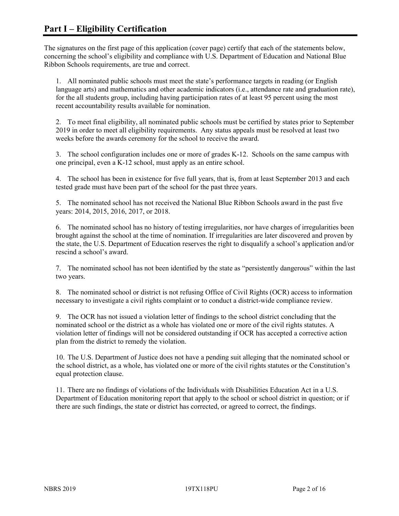The signatures on the first page of this application (cover page) certify that each of the statements below, concerning the school's eligibility and compliance with U.S. Department of Education and National Blue Ribbon Schools requirements, are true and correct.

1. All nominated public schools must meet the state's performance targets in reading (or English language arts) and mathematics and other academic indicators (i.e., attendance rate and graduation rate), for the all students group, including having participation rates of at least 95 percent using the most recent accountability results available for nomination.

2. To meet final eligibility, all nominated public schools must be certified by states prior to September 2019 in order to meet all eligibility requirements. Any status appeals must be resolved at least two weeks before the awards ceremony for the school to receive the award.

3. The school configuration includes one or more of grades K-12. Schools on the same campus with one principal, even a K-12 school, must apply as an entire school.

4. The school has been in existence for five full years, that is, from at least September 2013 and each tested grade must have been part of the school for the past three years.

5. The nominated school has not received the National Blue Ribbon Schools award in the past five years: 2014, 2015, 2016, 2017, or 2018.

6. The nominated school has no history of testing irregularities, nor have charges of irregularities been brought against the school at the time of nomination. If irregularities are later discovered and proven by the state, the U.S. Department of Education reserves the right to disqualify a school's application and/or rescind a school's award.

7. The nominated school has not been identified by the state as "persistently dangerous" within the last two years.

8. The nominated school or district is not refusing Office of Civil Rights (OCR) access to information necessary to investigate a civil rights complaint or to conduct a district-wide compliance review.

9. The OCR has not issued a violation letter of findings to the school district concluding that the nominated school or the district as a whole has violated one or more of the civil rights statutes. A violation letter of findings will not be considered outstanding if OCR has accepted a corrective action plan from the district to remedy the violation.

10. The U.S. Department of Justice does not have a pending suit alleging that the nominated school or the school district, as a whole, has violated one or more of the civil rights statutes or the Constitution's equal protection clause.

11. There are no findings of violations of the Individuals with Disabilities Education Act in a U.S. Department of Education monitoring report that apply to the school or school district in question; or if there are such findings, the state or district has corrected, or agreed to correct, the findings.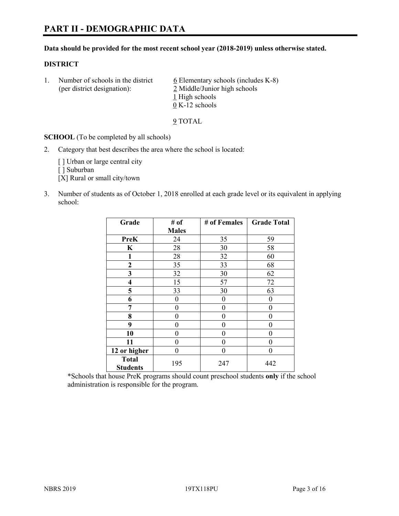#### **Data should be provided for the most recent school year (2018-2019) unless otherwise stated.**

#### **DISTRICT**

1. Number of schools in the district  $6$  Elementary schools (includes K-8) (per district designation): 2 Middle/Junior high schools 1 High schools 0 K-12 schools

9 TOTAL

**SCHOOL** (To be completed by all schools)

2. Category that best describes the area where the school is located:

[ ] Urban or large central city

[] Suburban

[X] Rural or small city/town

3. Number of students as of October 1, 2018 enrolled at each grade level or its equivalent in applying school:

| Grade                           | # of         | # of Females | <b>Grade Total</b> |
|---------------------------------|--------------|--------------|--------------------|
|                                 | <b>Males</b> |              |                    |
| <b>PreK</b>                     | 24           | 35           | 59                 |
| $\mathbf K$                     | 28           | 30           | 58                 |
| 1                               | 28           | 32           | 60                 |
| 2                               | 35           | 33           | 68                 |
| 3                               | 32           | 30           | 62                 |
| 4                               | 15           | 57           | 72                 |
| 5                               | 33           | 30           | 63                 |
| 6                               | 0            | $\theta$     | 0                  |
| 7                               | 0            | $\theta$     | 0                  |
| 8                               | 0            | 0            | 0                  |
| 9                               | 0            | $\theta$     | 0                  |
| 10                              | 0            | $\theta$     | 0                  |
| 11                              | 0            | 0            | 0                  |
| 12 or higher                    | 0            | $\theta$     | 0                  |
| <b>Total</b><br><b>Students</b> | 195          | 247          | 442                |

\*Schools that house PreK programs should count preschool students **only** if the school administration is responsible for the program.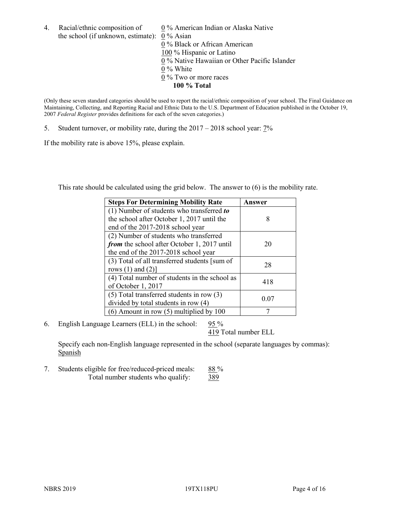- 4. Racial/ethnic composition of  $0\%$  American Indian or Alaska Native the school (if unknown, estimate): 0 % Asian 0 % Black or African American 100 % Hispanic or Latino  $\overline{0\%}$  Native Hawaiian or Other Pacific Islander 0 % White 0 % Two or more races
	- **100 % Total**

(Only these seven standard categories should be used to report the racial/ethnic composition of your school. The Final Guidance on Maintaining, Collecting, and Reporting Racial and Ethnic Data to the U.S. Department of Education published in the October 19, 2007 *Federal Register* provides definitions for each of the seven categories.)

5. Student turnover, or mobility rate, during the 2017 – 2018 school year: 7%

If the mobility rate is above 15%, please explain.

This rate should be calculated using the grid below. The answer to (6) is the mobility rate.

| <b>Steps For Determining Mobility Rate</b>    | Answer |
|-----------------------------------------------|--------|
| (1) Number of students who transferred to     |        |
| the school after October 1, 2017 until the    | 8      |
| end of the 2017-2018 school year              |        |
| (2) Number of students who transferred        |        |
| from the school after October 1, 2017 until   | 20     |
| the end of the 2017-2018 school year          |        |
| (3) Total of all transferred students [sum of | 28     |
| rows $(1)$ and $(2)$ ]                        |        |
| (4) Total number of students in the school as |        |
| of October 1, 2017                            | 418    |
| $(5)$ Total transferred students in row $(3)$ |        |
| divided by total students in row (4)          | 0.07   |
| $(6)$ Amount in row $(5)$ multiplied by 100   |        |

6. English Language Learners (ELL) in the school:  $95\%$ 

419 Total number ELL

Specify each non-English language represented in the school (separate languages by commas): **Spanish** 

7. Students eligible for free/reduced-priced meals: 88% Total number students who qualify: 389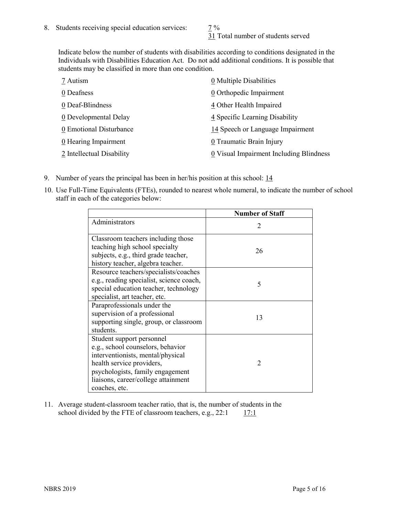31 Total number of students served

Indicate below the number of students with disabilities according to conditions designated in the Individuals with Disabilities Education Act. Do not add additional conditions. It is possible that students may be classified in more than one condition.

| 7 Autism                            | 0 Multiple Disabilities                 |
|-------------------------------------|-----------------------------------------|
| 0 Deafness                          | 0 Orthopedic Impairment                 |
| 0 Deaf-Blindness                    | 4 Other Health Impaired                 |
| $\underline{0}$ Developmental Delay | 4 Specific Learning Disability          |
| 0 Emotional Disturbance             | 14 Speech or Language Impairment        |
| 0 Hearing Impairment                | 0 Traumatic Brain Injury                |
| 2 Intellectual Disability           | 0 Visual Impairment Including Blindness |

- 9. Number of years the principal has been in her/his position at this school: 14
- 10. Use Full-Time Equivalents (FTEs), rounded to nearest whole numeral, to indicate the number of school staff in each of the categories below:

|                                                                                                                                                                                                                              | <b>Number of Staff</b>      |
|------------------------------------------------------------------------------------------------------------------------------------------------------------------------------------------------------------------------------|-----------------------------|
| Administrators                                                                                                                                                                                                               | $\mathcal{D}_{\mathcal{A}}$ |
| Classroom teachers including those<br>teaching high school specialty<br>subjects, e.g., third grade teacher,<br>history teacher, algebra teacher.                                                                            | 26                          |
| Resource teachers/specialists/coaches<br>e.g., reading specialist, science coach,<br>special education teacher, technology<br>specialist, art teacher, etc.                                                                  | 5                           |
| Paraprofessionals under the<br>supervision of a professional<br>supporting single, group, or classroom<br>students.                                                                                                          | 13                          |
| Student support personnel<br>e.g., school counselors, behavior<br>interventionists, mental/physical<br>health service providers,<br>psychologists, family engagement<br>liaisons, career/college attainment<br>coaches, etc. | $\mathfrak{D}$              |

11. Average student-classroom teacher ratio, that is, the number of students in the school divided by the FTE of classroom teachers, e.g.,  $22:1$  17:1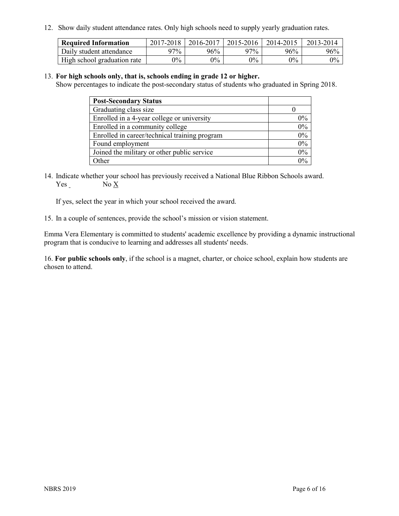12. Show daily student attendance rates. Only high schools need to supply yearly graduation rates.

| <b>Required Information</b> | 2017-2018 | 2016-2017 | 2015-2016 | 2014-2015 | 2013-2014 |
|-----------------------------|-----------|-----------|-----------|-----------|-----------|
| Daily student attendance    | 97%       | 96%       | 97%       | 96%       | 96%       |
| High school graduation rate | $0\%$     | $0\%$     | $0\%$     | $9\%$     | $0\%$     |

#### 13. **For high schools only, that is, schools ending in grade 12 or higher.**

Show percentages to indicate the post-secondary status of students who graduated in Spring 2018.

| <b>Post-Secondary Status</b>                  |       |
|-----------------------------------------------|-------|
| Graduating class size                         |       |
| Enrolled in a 4-year college or university    | $0\%$ |
| Enrolled in a community college               | 0%    |
| Enrolled in career/technical training program | 0%    |
| Found employment                              | 0%    |
| Joined the military or other public service   | 0%    |
| Other                                         | $0\%$ |

14. Indicate whether your school has previously received a National Blue Ribbon Schools award. Yes No X

If yes, select the year in which your school received the award.

15. In a couple of sentences, provide the school's mission or vision statement.

Emma Vera Elementary is committed to students' academic excellence by providing a dynamic instructional program that is conducive to learning and addresses all students' needs.

16. **For public schools only**, if the school is a magnet, charter, or choice school, explain how students are chosen to attend.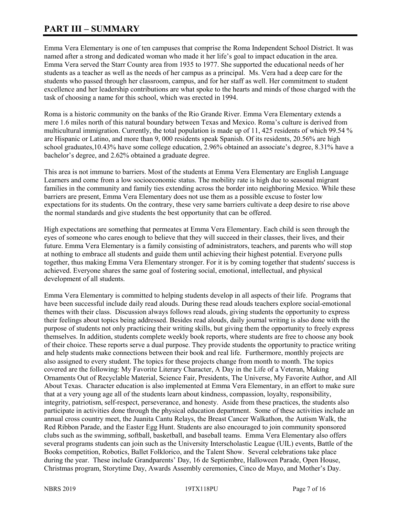# **PART III – SUMMARY**

Emma Vera Elementary is one of ten campuses that comprise the Roma Independent School District. It was named after a strong and dedicated woman who made it her life's goal to impact education in the area. Emma Vera served the Starr County area from 1935 to 1977. She supported the educational needs of her students as a teacher as well as the needs of her campus as a principal. Ms. Vera had a deep care for the students who passed through her classroom, campus, and for her staff as well. Her commitment to student excellence and her leadership contributions are what spoke to the hearts and minds of those charged with the task of choosing a name for this school, which was erected in 1994.

Roma is a historic community on the banks of the Rio Grande River. Emma Vera Elementary extends a mere 1.6 miles north of this natural boundary between Texas and Mexico. Roma's culture is derived from multicultural immigration. Currently, the total population is made up of 11, 425 residents of which 99.54 % are Hispanic or Latino, and more than 9, 000 residents speak Spanish. Of its residents, 20.56% are high school graduates,10.43% have some college education, 2.96% obtained an associate's degree, 8.31% have a bachelor's degree, and 2.62% obtained a graduate degree.

This area is not immune to barriers. Most of the students at Emma Vera Elementary are English Language Learners and come from a low socioeconomic status. The mobility rate is high due to seasonal migrant families in the community and family ties extending across the border into neighboring Mexico. While these barriers are present, Emma Vera Elementary does not use them as a possible excuse to foster low expectations for its students. On the contrary, these very same barriers cultivate a deep desire to rise above the normal standards and give students the best opportunity that can be offered.

High expectations are something that permeates at Emma Vera Elementary. Each child is seen through the eyes of someone who cares enough to believe that they will succeed in their classes, their lives, and their future. Emma Vera Elementary is a family consisting of administrators, teachers, and parents who will stop at nothing to embrace all students and guide them until achieving their highest potential. Everyone pulls together, thus making Emma Vera Elementary stronger. For it is by coming together that students' success is achieved. Everyone shares the same goal of fostering social, emotional, intellectual, and physical development of all students.

Emma Vera Elementary is committed to helping students develop in all aspects of their life. Programs that have been successful include daily read alouds. During these read alouds teachers explore social-emotional themes with their class. Discussion always follows read alouds, giving students the opportunity to express their feelings about topics being addressed. Besides read alouds, daily journal writing is also done with the purpose of students not only practicing their writing skills, but giving them the opportunity to freely express themselves. In addition, students complete weekly book reports, where students are free to choose any book of their choice. These reports serve a dual purpose. They provide students the opportunity to practice writing and help students make connections between their book and real life. Furthermore, monthly projects are also assigned to every student. The topics for these projects change from month to month. The topics covered are the following: My Favorite Literary Character, A Day in the Life of a Veteran, Making Ornaments Out of Recyclable Material, Science Fair, Presidents, The Universe, My Favorite Author, and All About Texas. Character education is also implemented at Emma Vera Elementary, in an effort to make sure that at a very young age all of the students learn about kindness, compassion, loyalty, responsibility, integrity, patriotism, self-respect, perseverance, and honesty. Aside from these practices, the students also participate in activities done through the physical education department. Some of these activities include an annual cross country meet, the Juanita Cantu Relays, the Breast Cancer Walkathon, the Autism Walk, the Red Ribbon Parade, and the Easter Egg Hunt. Students are also encouraged to join community sponsored clubs such as the swimming, softball, basketball, and baseball teams. Emma Vera Elementary also offers several programs students can join such as the University Interscholastic League (UIL) events, Battle of the Books competition, Robotics, Ballet Folklorico, and the Talent Show. Several celebrations take place during the year. These include Grandparents' Day, 16 de Septiembre, Halloween Parade, Open House, Christmas program, Storytime Day, Awards Assembly ceremonies, Cinco de Mayo, and Mother's Day.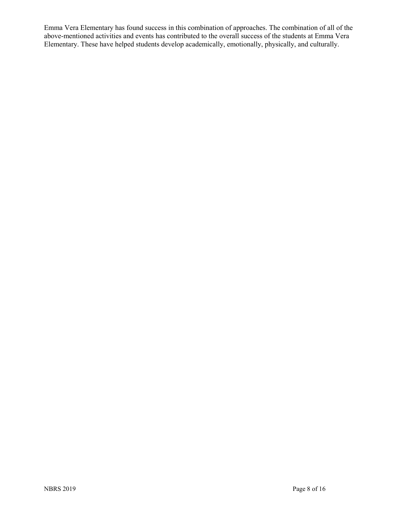Emma Vera Elementary has found success in this combination of approaches. The combination of all of the above-mentioned activities and events has contributed to the overall success of the students at Emma Vera Elementary. These have helped students develop academically, emotionally, physically, and culturally.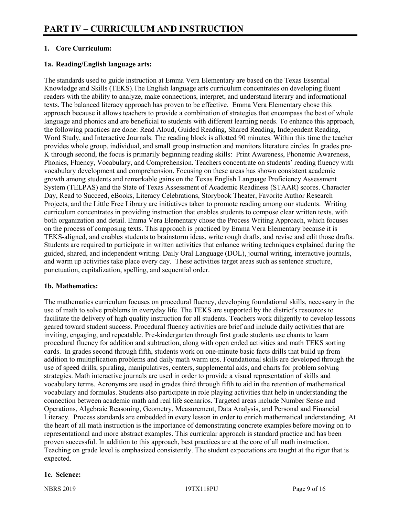# **1. Core Curriculum:**

# **1a. Reading/English language arts:**

The standards used to guide instruction at Emma Vera Elementary are based on the Texas Essential Knowledge and Skills (TEKS).The English language arts curriculum concentrates on developing fluent readers with the ability to analyze, make connections, interpret, and understand literary and informational texts. The balanced literacy approach has proven to be effective. Emma Vera Elementary chose this approach because it allows teachers to provide a combination of strategies that encompass the best of whole language and phonics and are beneficial to students with different learning needs. To enhance this approach, the following practices are done: Read Aloud, Guided Reading, Shared Reading, Independent Reading, Word Study, and Interactive Journals. The reading block is allotted 90 minutes. Within this time the teacher provides whole group, individual, and small group instruction and monitors literature circles. In grades pre-K through second, the focus is primarily beginning reading skills: Print Awareness, Phonemic Awareness, Phonics, Fluency, Vocabulary, and Comprehension. Teachers concentrate on students' reading fluency with vocabulary development and comprehension. Focusing on these areas has shown consistent academic growth among students and remarkable gains on the Texas English Language Proficiency Assessment System (TELPAS) and the State of Texas Assessment of Academic Readiness (STAAR) scores. Character Day, Read to Succeed, eBooks, Literacy Celebrations, Storybook Theater, Favorite Author Research Projects, and the Little Free Library are initiatives taken to promote reading among our students. Writing curriculum concentrates in providing instruction that enables students to compose clear written texts, with both organization and detail. Emma Vera Elementary chose the Process Writing Approach, which focuses on the process of composing texts. This approach is practiced by Emma Vera Elementary because it is TEKS-aligned, and enables students to brainstorm ideas, write rough drafts, and revise and edit those drafts. Students are required to participate in written activities that enhance writing techniques explained during the guided, shared, and independent writing. Daily Oral Language (DOL), journal writing, interactive journals, and warm up activities take place every day. These activities target areas such as sentence structure, punctuation, capitalization, spelling, and sequential order.

#### **1b. Mathematics:**

The mathematics curriculum focuses on procedural fluency, developing foundational skills, necessary in the use of math to solve problems in everyday life. The TEKS are supported by the district's resources to facilitate the delivery of high quality instruction for all students. Teachers work diligently to develop lessons geared toward student success. Procedural fluency activities are brief and include daily activities that are inviting, engaging, and repeatable. Pre-kindergarten through first grade students use chants to learn procedural fluency for addition and subtraction, along with open ended activities and math TEKS sorting cards. In grades second through fifth, students work on one-minute basic facts drills that build up from addition to multiplication problems and daily math warm ups. Foundational skills are developed through the use of speed drills, spiraling, manipulatives, centers, supplemental aids, and charts for problem solving strategies. Math interactive journals are used in order to provide a visual representation of skills and vocabulary terms. Acronyms are used in grades third through fifth to aid in the retention of mathematical vocabulary and formulas. Students also participate in role playing activities that help in understanding the connection between academic math and real life scenarios. Targeted areas include Number Sense and Operations, Algebraic Reasoning, Geometry, Measurement, Data Analysis, and Personal and Financial Literacy. Process standards are embedded in every lesson in order to enrich mathematical understanding. At the heart of all math instruction is the importance of demonstrating concrete examples before moving on to representational and more abstract examples. This curricular approach is standard practice and has been proven successful. In addition to this approach, best practices are at the core of all math instruction. Teaching on grade level is emphasized consistently. The student expectations are taught at the rigor that is expected.

#### **1c. Science:**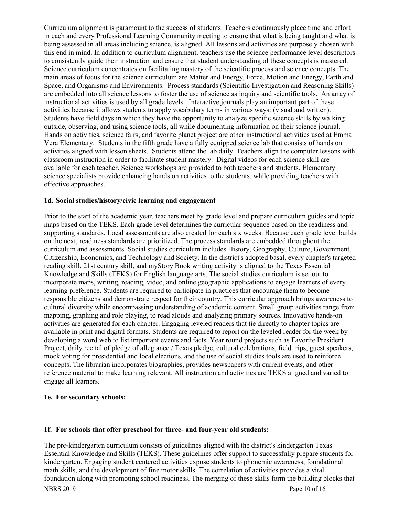Curriculum alignment is paramount to the success of students. Teachers continuously place time and effort in each and every Professional Learning Community meeting to ensure that what is being taught and what is being assessed in all areas including science, is aligned. All lessons and activities are purposely chosen with this end in mind. In addition to curriculum alignment, teachers use the science performance level descriptors to consistently guide their instruction and ensure that student understanding of these concepts is mastered. Science curriculum concentrates on facilitating mastery of the scientific process and science concepts. The main areas of focus for the science curriculum are Matter and Energy, Force, Motion and Energy, Earth and Space, and Organisms and Environments. Process standards (Scientific Investigation and Reasoning Skills) are embedded into all science lessons to foster the use of science as inquiry and scientific tools. An array of instructional activities is used by all grade levels. Interactive journals play an important part of these activities because it allows students to apply vocabulary terms in various ways: (visual and written). Students have field days in which they have the opportunity to analyze specific science skills by walking outside, observing, and using science tools, all while documenting information on their science journal. Hands on activities, science fairs, and favorite planet project are other instructional activities used at Emma Vera Elementary. Students in the fifth grade have a fully equipped science lab that consists of hands on activities aligned with lesson sheets. Students attend the lab daily. Teachers align the computer lessons with classroom instruction in order to facilitate student mastery. Digital videos for each science skill are available for each teacher. Science workshops are provided to both teachers and students. Elementary science specialists provide enhancing hands on activities to the students, while providing teachers with effective approaches.

#### **1d. Social studies/history/civic learning and engagement**

Prior to the start of the academic year, teachers meet by grade level and prepare curriculum guides and topic maps based on the TEKS. Each grade level determines the curricular sequence based on the readiness and supporting standards. Local assessments are also created for each six weeks. Because each grade level builds on the next, readiness standards are prioritized. The process standards are embedded throughout the curriculum and assessments. Social studies curriculum includes History, Geography, Culture, Government, Citizenship, Economics, and Technology and Society. In the district's adopted basal, every chapter's targeted reading skill, 21st century skill, and myStory Book writing activity is aligned to the Texas Essential Knowledge and Skills (TEKS) for English language arts. The social studies curriculum is set out to incorporate maps, writing, reading, video, and online geographic applications to engage learners of every learning preference. Students are required to participate in practices that encourage them to become responsible citizens and demonstrate respect for their country. This curricular approach brings awareness to cultural diversity while encompassing understanding of academic content. Small group activities range from mapping, graphing and role playing, to read alouds and analyzing primary sources. Innovative hands-on activities are generated for each chapter. Engaging leveled readers that tie directly to chapter topics are available in print and digital formats. Students are required to report on the leveled reader for the week by developing a word web to list important events and facts. Year round projects such as Favorite President Project, daily recital of pledge of allegiance / Texas pledge, cultural celebrations, field trips, guest speakers, mock voting for presidential and local elections, and the use of social studies tools are used to reinforce concepts. The librarian incorporates biographies, provides newspapers with current events, and other reference material to make learning relevant. All instruction and activities are TEKS aligned and varied to engage all learners.

#### **1e. For secondary schools:**

#### **1f. For schools that offer preschool for three- and four-year old students:**

The pre-kindergarten curriculum consists of guidelines aligned with the district's kindergarten Texas Essential Knowledge and Skills (TEKS). These guidelines offer support to successfully prepare students for kindergarten. Engaging student centered activities expose students to phonemic awareness, foundational math skills, and the development of fine motor skills. The correlation of activities provides a vital foundation along with promoting school readiness. The merging of these skills form the building blocks that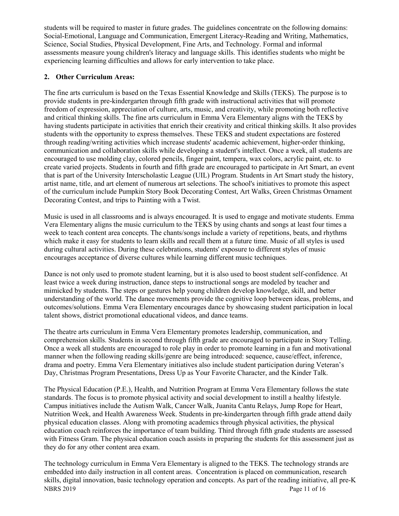students will be required to master in future grades. The guidelines concentrate on the following domains: Social-Emotional, Language and Communication, Emergent Literacy-Reading and Writing, Mathematics, Science, Social Studies, Physical Development, Fine Arts, and Technology. Formal and informal assessments measure young children's literacy and language skills. This identifies students who might be experiencing learning difficulties and allows for early intervention to take place.

# **2. Other Curriculum Areas:**

The fine arts curriculum is based on the Texas Essential Knowledge and Skills (TEKS). The purpose is to provide students in pre-kindergarten through fifth grade with instructional activities that will promote freedom of expression, appreciation of culture, arts, music, and creativity, while promoting both reflective and critical thinking skills. The fine arts curriculum in Emma Vera Elementary aligns with the TEKS by having students participate in activities that enrich their creativity and critical thinking skills. It also provides students with the opportunity to express themselves. These TEKS and student expectations are fostered through reading/writing activities which increase students' academic achievement, higher-order thinking, communication and collaboration skills while developing a student's intellect. Once a week, all students are encouraged to use molding clay, colored pencils, finger paint, tempera, wax colors, acrylic paint, etc. to create varied projects. Students in fourth and fifth grade are encouraged to participate in Art Smart, an event that is part of the University Interscholastic League (UIL) Program. Students in Art Smart study the history, artist name, title, and art element of numerous art selections. The school's initiatives to promote this aspect of the curriculum include Pumpkin Story Book Decorating Contest, Art Walks, Green Christmas Ornament Decorating Contest, and trips to Painting with a Twist.

Music is used in all classrooms and is always encouraged. It is used to engage and motivate students. Emma Vera Elementary aligns the music curriculum to the TEKS by using chants and songs at least four times a week to teach content area concepts. The chants/songs include a variety of repetitions, beats, and rhythms which make it easy for students to learn skills and recall them at a future time. Music of all styles is used during cultural activities. During these celebrations, students' exposure to different styles of music encourages acceptance of diverse cultures while learning different music techniques.

Dance is not only used to promote student learning, but it is also used to boost student self-confidence. At least twice a week during instruction, dance steps to instructional songs are modeled by teacher and mimicked by students. The steps or gestures help young children develop knowledge, skill, and better understanding of the world. The dance movements provide the cognitive loop between ideas, problems, and outcomes/solutions. Emma Vera Elementary encourages dance by showcasing student participation in local talent shows, district promotional educational videos, and dance teams.

The theatre arts curriculum in Emma Vera Elementary promotes leadership, communication, and comprehension skills. Students in second through fifth grade are encouraged to participate in Story Telling. Once a week all students are encouraged to role play in order to promote learning in a fun and motivational manner when the following reading skills/genre are being introduced: sequence, cause/effect, inference, drama and poetry. Emma Vera Elementary initiatives also include student participation during Veteran's Day, Christmas Program Presentations, Dress Up as Your Favorite Character, and the Kinder Talk.

The Physical Education (P.E.), Health, and Nutrition Program at Emma Vera Elementary follows the state standards. The focus is to promote physical activity and social development to instill a healthy lifestyle. Campus initiatives include the Autism Walk, Cancer Walk, Juanita Cantu Relays, Jump Rope for Heart, Nutrition Week, and Health Awareness Week. Students in pre-kindergarten through fifth grade attend daily physical education classes. Along with promoting academics through physical activities, the physical education coach reinforces the importance of team building. Third through fifth grade students are assessed with Fitness Gram. The physical education coach assists in preparing the students for this assessment just as they do for any other content area exam.

NBRS 2019 Page 11 of 16 The technology curriculum in Emma Vera Elementary is aligned to the TEKS. The technology strands are embedded into daily instruction in all content areas. Concentration is placed on communication, research skills, digital innovation, basic technology operation and concepts. As part of the reading initiative, all pre-K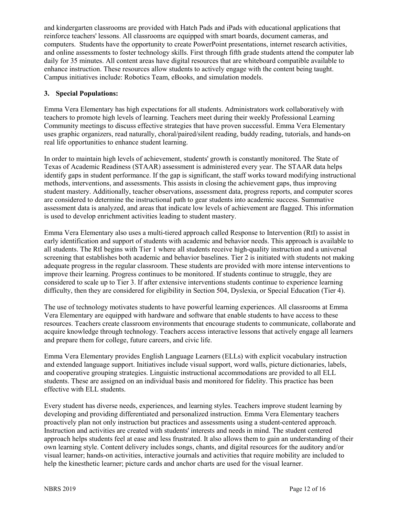and kindergarten classrooms are provided with Hatch Pads and iPads with educational applications that reinforce teachers' lessons. All classrooms are equipped with smart boards, document cameras, and computers. Students have the opportunity to create PowerPoint presentations, internet research activities, and online assessments to foster technology skills. First through fifth grade students attend the computer lab daily for 35 minutes. All content areas have digital resources that are whiteboard compatible available to enhance instruction. These resources allow students to actively engage with the content being taught. Campus initiatives include: Robotics Team, eBooks, and simulation models.

# **3. Special Populations:**

Emma Vera Elementary has high expectations for all students. Administrators work collaboratively with teachers to promote high levels of learning. Teachers meet during their weekly Professional Learning Community meetings to discuss effective strategies that have proven successful. Emma Vera Elementary uses graphic organizers, read naturally, choral/paired/silent reading, buddy reading, tutorials, and hands-on real life opportunities to enhance student learning.

In order to maintain high levels of achievement, students' growth is constantly monitored. The State of Texas of Academic Readiness (STAAR) assessment is administered every year. The STAAR data helps identify gaps in student performance. If the gap is significant, the staff works toward modifying instructional methods, interventions, and assessments. This assists in closing the achievement gaps, thus improving student mastery. Additionally, teacher observations, assessment data, progress reports, and computer scores are considered to determine the instructional path to gear students into academic success. Summative assessment data is analyzed, and areas that indicate low levels of achievement are flagged. This information is used to develop enrichment activities leading to student mastery.

Emma Vera Elementary also uses a multi-tiered approach called Response to Intervention (RtI) to assist in early identification and support of students with academic and behavior needs. This approach is available to all students. The RtI begins with Tier 1 where all students receive high-quality instruction and a universal screening that establishes both academic and behavior baselines. Tier 2 is initiated with students not making adequate progress in the regular classroom. These students are provided with more intense interventions to improve their learning. Progress continues to be monitored. If students continue to struggle, they are considered to scale up to Tier 3. If after extensive interventions students continue to experience learning difficulty, then they are considered for eligibility in Section 504, Dyslexia, or Special Education (Tier 4).

The use of technology motivates students to have powerful learning experiences. All classrooms at Emma Vera Elementary are equipped with hardware and software that enable students to have access to these resources. Teachers create classroom environments that encourage students to communicate, collaborate and acquire knowledge through technology. Teachers access interactive lessons that actively engage all learners and prepare them for college, future careers, and civic life.

Emma Vera Elementary provides English Language Learners (ELLs) with explicit vocabulary instruction and extended language support. Initiatives include visual support, word walls, picture dictionaries, labels, and cooperative grouping strategies. Linguistic instructional accommodations are provided to all ELL students. These are assigned on an individual basis and monitored for fidelity. This practice has been effective with ELL students.

Every student has diverse needs, experiences, and learning styles. Teachers improve student learning by developing and providing differentiated and personalized instruction. Emma Vera Elementary teachers proactively plan not only instruction but practices and assessments using a student-centered approach. Instruction and activities are created with students' interests and needs in mind. The student centered approach helps students feel at ease and less frustrated. It also allows them to gain an understanding of their own learning style. Content delivery includes songs, chants, and digital resources for the auditory and/or visual learner; hands-on activities, interactive journals and activities that require mobility are included to help the kinesthetic learner; picture cards and anchor charts are used for the visual learner.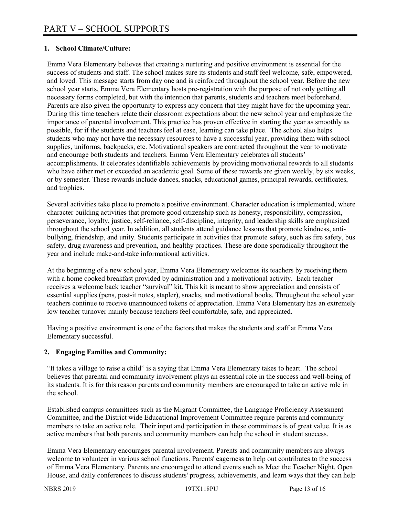# **1. School Climate/Culture:**

Emma Vera Elementary believes that creating a nurturing and positive environment is essential for the success of students and staff. The school makes sure its students and staff feel welcome, safe, empowered, and loved. This message starts from day one and is reinforced throughout the school year. Before the new school year starts, Emma Vera Elementary hosts pre-registration with the purpose of not only getting all necessary forms completed, but with the intention that parents, students and teachers meet beforehand. Parents are also given the opportunity to express any concern that they might have for the upcoming year. During this time teachers relate their classroom expectations about the new school year and emphasize the importance of parental involvement. This practice has proven effective in starting the year as smoothly as possible, for if the students and teachers feel at ease, learning can take place. The school also helps students who may not have the necessary resources to have a successful year, providing them with school supplies, uniforms, backpacks, etc. Motivational speakers are contracted throughout the year to motivate and encourage both students and teachers. Emma Vera Elementary celebrates all students' accomplishments. It celebrates identifiable achievements by providing motivational rewards to all students who have either met or exceeded an academic goal. Some of these rewards are given weekly, by six weeks, or by semester. These rewards include dances, snacks, educational games, principal rewards, certificates, and trophies.

Several activities take place to promote a positive environment. Character education is implemented, where character building activities that promote good citizenship such as honesty, responsibility, compassion, perseverance, loyalty, justice, self-reliance, self-discipline, integrity, and leadership skills are emphasized throughout the school year. In addition, all students attend guidance lessons that promote kindness, antibullying, friendship, and unity. Students participate in activities that promote safety, such as fire safety, bus safety, drug awareness and prevention, and healthy practices. These are done sporadically throughout the year and include make-and-take informational activities.

At the beginning of a new school year, Emma Vera Elementary welcomes its teachers by receiving them with a home cooked breakfast provided by administration and a motivational activity. Each teacher receives a welcome back teacher "survival" kit. This kit is meant to show appreciation and consists of essential supplies (pens, post-it notes, stapler), snacks, and motivational books. Throughout the school year teachers continue to receive unannounced tokens of appreciation. Emma Vera Elementary has an extremely low teacher turnover mainly because teachers feel comfortable, safe, and appreciated.

Having a positive environment is one of the factors that makes the students and staff at Emma Vera Elementary successful.

# **2. Engaging Families and Community:**

"It takes a village to raise a child" is a saying that Emma Vera Elementary takes to heart. The school believes that parental and community involvement plays an essential role in the success and well-being of its students. It is for this reason parents and community members are encouraged to take an active role in the school.

Established campus committees such as the Migrant Committee, the Language Proficiency Assessment Committee, and the District wide Educational Improvement Committee require parents and community members to take an active role. Their input and participation in these committees is of great value. It is as active members that both parents and community members can help the school in student success.

Emma Vera Elementary encourages parental involvement. Parents and community members are always welcome to volunteer in various school functions. Parents' eagerness to help out contributes to the success of Emma Vera Elementary. Parents are encouraged to attend events such as Meet the Teacher Night, Open House, and daily conferences to discuss students' progress, achievements, and learn ways that they can help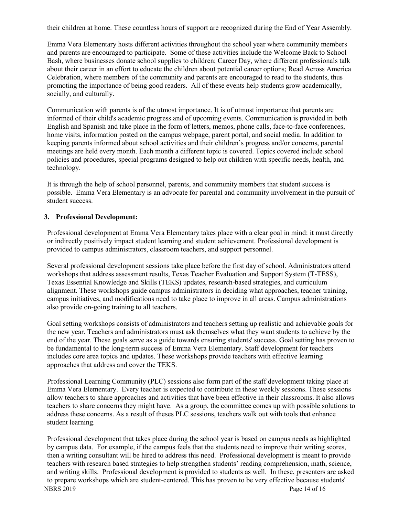their children at home. These countless hours of support are recognized during the End of Year Assembly.

Emma Vera Elementary hosts different activities throughout the school year where community members and parents are encouraged to participate. Some of these activities include the Welcome Back to School Bash, where businesses donate school supplies to children; Career Day, where different professionals talk about their career in an effort to educate the children about potential career options; Read Across America Celebration, where members of the community and parents are encouraged to read to the students, thus promoting the importance of being good readers. All of these events help students grow academically, socially, and culturally.

Communication with parents is of the utmost importance. It is of utmost importance that parents are informed of their child's academic progress and of upcoming events. Communication is provided in both English and Spanish and take place in the form of letters, memos, phone calls, face-to-face conferences, home visits, information posted on the campus webpage, parent portal, and social media. In addition to keeping parents informed about school activities and their children's progress and/or concerns, parental meetings are held every month. Each month a different topic is covered. Topics covered include school policies and procedures, special programs designed to help out children with specific needs, health, and technology.

It is through the help of school personnel, parents, and community members that student success is possible. Emma Vera Elementary is an advocate for parental and community involvement in the pursuit of student success.

## **3. Professional Development:**

Professional development at Emma Vera Elementary takes place with a clear goal in mind: it must directly or indirectly positively impact student learning and student achievement. Professional development is provided to campus administrators, classroom teachers, and support personnel.

Several professional development sessions take place before the first day of school. Administrators attend workshops that address assessment results, Texas Teacher Evaluation and Support System (T-TESS), Texas Essential Knowledge and Skills (TEKS) updates, research-based strategies, and curriculum alignment. These workshops guide campus administrators in deciding what approaches, teacher training, campus initiatives, and modifications need to take place to improve in all areas. Campus administrations also provide on-going training to all teachers.

Goal setting workshops consists of administrators and teachers setting up realistic and achievable goals for the new year. Teachers and administrators must ask themselves what they want students to achieve by the end of the year. These goals serve as a guide towards ensuring students' success. Goal setting has proven to be fundamental to the long-term success of Emma Vera Elementary. Staff development for teachers includes core area topics and updates. These workshops provide teachers with effective learning approaches that address and cover the TEKS.

Professional Learning Community (PLC) sessions also form part of the staff development taking place at Emma Vera Elementary. Every teacher is expected to contribute in these weekly sessions. These sessions allow teachers to share approaches and activities that have been effective in their classrooms. It also allows teachers to share concerns they might have. As a group, the committee comes up with possible solutions to address these concerns. As a result of theses PLC sessions, teachers walk out with tools that enhance student learning.

NBRS 2019 Page 14 of 16 Professional development that takes place during the school year is based on campus needs as highlighted by campus data. For example, if the campus feels that the students need to improve their writing scores, then a writing consultant will be hired to address this need. Professional development is meant to provide teachers with research based strategies to help strengthen students' reading comprehension, math, science, and writing skills. Professional development is provided to students as well. In these, presenters are asked to prepare workshops which are student-centered. This has proven to be very effective because students'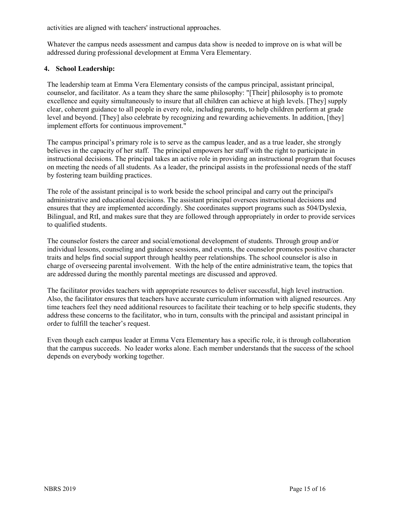activities are aligned with teachers' instructional approaches.

Whatever the campus needs assessment and campus data show is needed to improve on is what will be addressed during professional development at Emma Vera Elementary.

# **4. School Leadership:**

The leadership team at Emma Vera Elementary consists of the campus principal, assistant principal, counselor, and facilitator. As a team they share the same philosophy: "[Their] philosophy is to promote excellence and equity simultaneously to insure that all children can achieve at high levels. [They] supply clear, coherent guidance to all people in every role, including parents, to help children perform at grade level and beyond. [They] also celebrate by recognizing and rewarding achievements. In addition, [they] implement efforts for continuous improvement."

The campus principal's primary role is to serve as the campus leader, and as a true leader, she strongly believes in the capacity of her staff. The principal empowers her staff with the right to participate in instructional decisions. The principal takes an active role in providing an instructional program that focuses on meeting the needs of all students. As a leader, the principal assists in the professional needs of the staff by fostering team building practices.

The role of the assistant principal is to work beside the school principal and carry out the principal's administrative and educational decisions. The assistant principal oversees instructional decisions and ensures that they are implemented accordingly. She coordinates support programs such as 504/Dyslexia, Bilingual, and RtI, and makes sure that they are followed through appropriately in order to provide services to qualified students.

The counselor fosters the career and social/emotional development of students. Through group and/or individual lessons, counseling and guidance sessions, and events, the counselor promotes positive character traits and helps find social support through healthy peer relationships. The school counselor is also in charge of overseeing parental involvement. With the help of the entire administrative team, the topics that are addressed during the monthly parental meetings are discussed and approved.

The facilitator provides teachers with appropriate resources to deliver successful, high level instruction. Also, the facilitator ensures that teachers have accurate curriculum information with aligned resources. Any time teachers feel they need additional resources to facilitate their teaching or to help specific students, they address these concerns to the facilitator, who in turn, consults with the principal and assistant principal in order to fulfill the teacher's request.

Even though each campus leader at Emma Vera Elementary has a specific role, it is through collaboration that the campus succeeds. No leader works alone. Each member understands that the success of the school depends on everybody working together.